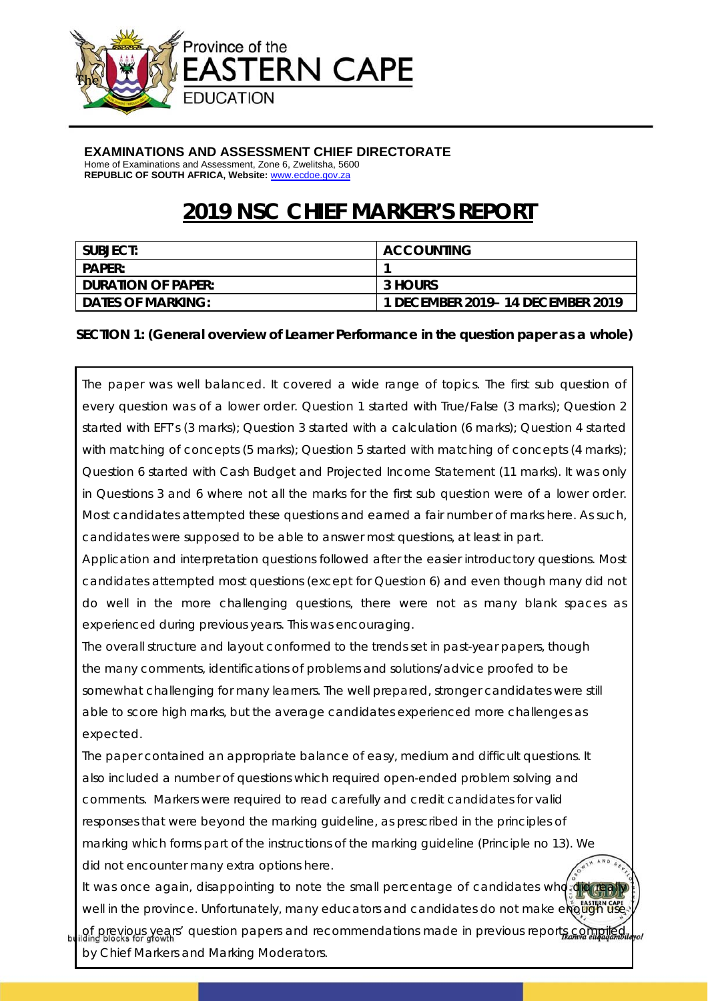

#### **EXAMINATIONS AND ASSESSMENT CHIEF DIRECTORATE**

Home of Examinations and Assessment, Zone 6, Zwelitsha, 5600 **REPUBLIC OF SOUTH AFRICA, Website:** www.ecdoe.gov.za

# **2019 NSC CHIEF MARKER'S REPORT**

| I SUBJECT:           | <b>ACCOUNTING</b>                 |
|----------------------|-----------------------------------|
| <b>PAPER:</b>        |                                   |
| I DURATION OF PAPER: | 3 HOURS                           |
| I DATES OF MARKING:  | 1 DECEMBER 2019- 14 DECEMBER 2019 |

#### **SECTION 1: (General overview of Learner Performance in the question paper as a whole)**

The paper was well balanced. It covered a wide range of topics. The first sub question of every question was of a lower order. Question 1 started with True/False (3 marks); Question 2 started with EFT's (3 marks); Question 3 started with a calculation (6 marks); Question 4 started with matching of concepts (5 marks); Question 5 started with matching of concepts (4 marks); Question 6 started with Cash Budget and Projected Income Statement (11 marks). It was only in Questions 3 and 6 where not all the marks for the first sub question were of a lower order. Most candidates attempted these questions and earned a fair number of marks here. As such, candidates were supposed to be able to answer most questions, at least in part.

Application and interpretation questions followed after the easier introductory questions. Most candidates attempted most questions (except for Question 6) and even though many did not do well in the more challenging questions, there were not as many blank spaces as experienced during previous years. This was encouraging.

The overall structure and layout conformed to the trends set in past-year papers, though the many comments, identifications of problems and solutions/advice proofed to be somewhat challenging for many learners. The well prepared, stronger candidates were still able to score high marks, but the average candidates experienced more challenges as expected.

The paper contained an appropriate balance of easy, medium and difficult questions. It also included a number of questions which required open-ended problem solving and comments. Markers were required to read carefully and credit candidates for valid responses that were beyond the marking guideline, as prescribed in the principles of marking which forms part of the instructions of the marking guideline (Principle no 13). We did not encounter many extra options here.

It was once again, disappointing to note the small percentage of candidates who did well in the province. Unfortunately, many educators and candidates do not make enough

of previous years' question papers and recommendations made in previous reports compiled by Chief Markers and Marking Moderators.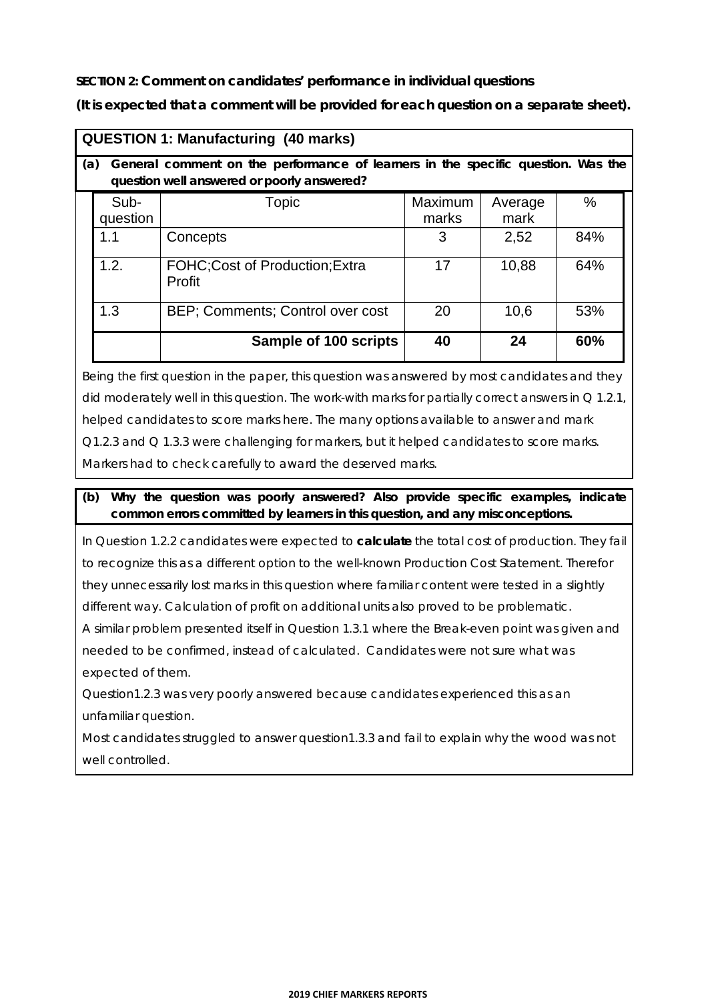**SECTION 2: Comment on candidates' performance in individual questions** 

**(It is expected that a comment will be provided for each question on a separate sheet).** 

| <b>QUESTION 1: Manufacturing (40 marks)</b>                                                                                           |                                                  |                  |                 |      |  |
|---------------------------------------------------------------------------------------------------------------------------------------|--------------------------------------------------|------------------|-----------------|------|--|
| General comment on the performance of learners in the specific question. Was the<br>(a)<br>question well answered or poorly answered? |                                                  |                  |                 |      |  |
| Sub-<br>question                                                                                                                      | Topic                                            | Maximum<br>marks | Average<br>mark | $\%$ |  |
| 1.1                                                                                                                                   | Concepts                                         | 3                | 2,52            | 84%  |  |
| 1.2.                                                                                                                                  | <b>FOHC: Cost of Production: Extra</b><br>Profit | 17               | 10,88           | 64%  |  |
| 1.3                                                                                                                                   | BEP; Comments; Control over cost                 | 20               | 10,6            | 53%  |  |
|                                                                                                                                       | Sample of 100 scripts                            | 40               | 24              | 60%  |  |

Being the first question in the paper, this question was answered by most candidates and they did moderately well in this question. The work-with marks for partially correct answers in  $Q$  1.2.1, helped candidates to score marks here. The many options available to answer and mark Q1.2.3 and Q 1.3.3 were challenging for markers, but it helped candidates to score marks. Markers had to check carefully to award the deserved marks.

#### **(b) Why the question was poorly answered? Also provide specific examples, indicate common errors committed by learners in this question, and any misconceptions.**

In Question 1.2.2 candidates were expected to **calculate** the total cost of production. They fail to recognize this as a different option to the well-known Production Cost Statement. Therefor they unnecessarily lost marks in this question where familiar content were tested in a slightly different way. Calculation of profit on additional units also proved to be problematic.

A similar problem presented itself in Question 1.3.1 where the Break-even point was given and needed to be confirmed, instead of calculated. Candidates were not sure what was expected of them.

Question1.2.3 was very poorly answered because candidates experienced this as an unfamiliar question.

Most candidates struggled to answer question1.3.3 and fail to explain why the wood was not well controlled.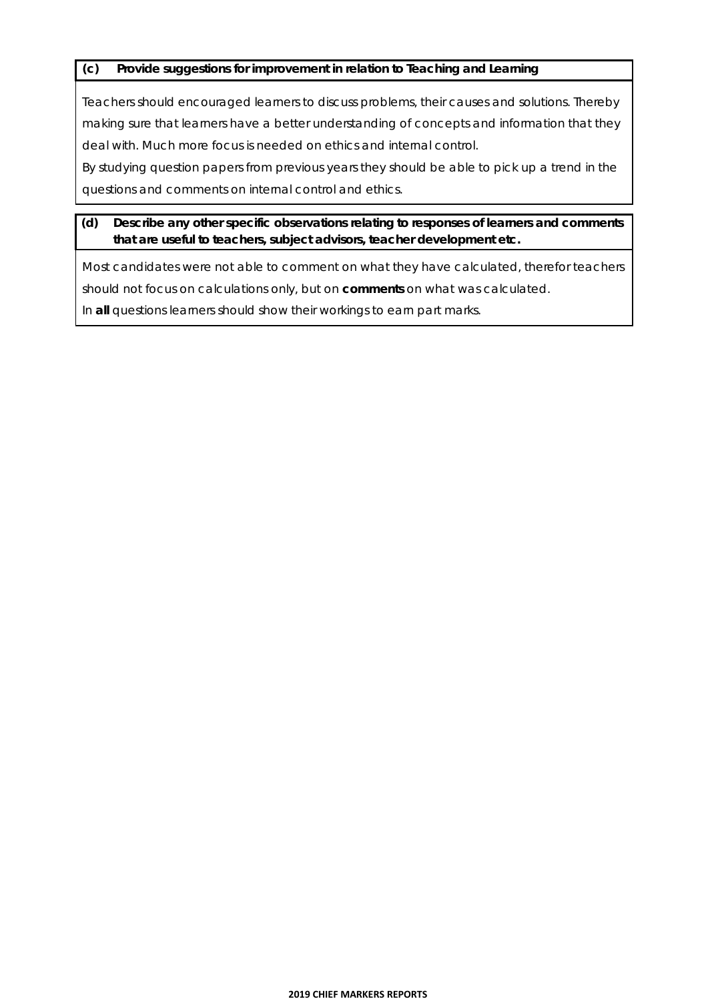#### **(c) Provide suggestions for improvement in relation to Teaching and Learning**

Teachers should encouraged learners to discuss problems, their causes and solutions. Thereby making sure that learners have a better understanding of concepts and information that they deal with. Much more focus is needed on ethics and internal control.

By studying question papers from previous years they should be able to pick up a trend in the questions and comments on internal control and ethics.

#### **(d) Describe any other specific observations relating to responses of learners and comments that are useful to teachers, subject advisors, teacher development etc.**

Most candidates were not able to comment on what they have calculated, therefor teachers should not focus on calculations only, but on **comments** on what was calculated. In **all** questions learners should show their workings to earn part marks.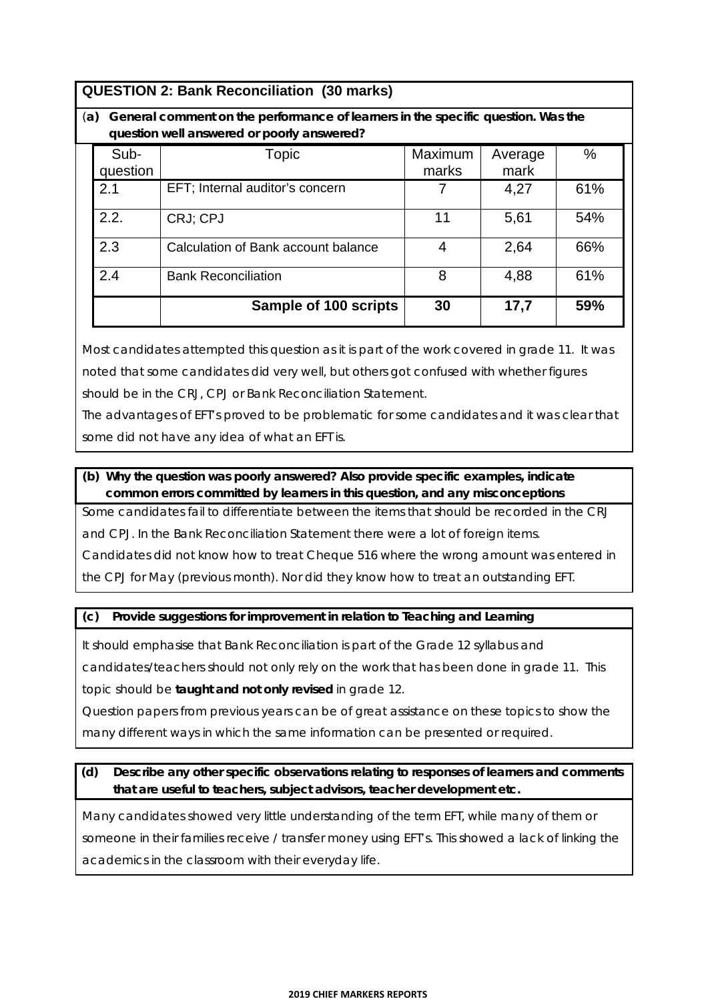| <b>QUESTION 2: Bank Reconciliation (30 marks)</b> |  |
|---------------------------------------------------|--|
|---------------------------------------------------|--|

#### (**a) General comment on the performance of learners in the specific question. Was the question well answered or poorly answered?**

|          | question well driswered or poonly driswered. |         |         |     |
|----------|----------------------------------------------|---------|---------|-----|
| Sub-     | Topic                                        | Maximum | Average | %   |
| question |                                              | marks   | mark    |     |
| 2.1      | EFT; Internal auditor's concern              |         | 4,27    | 61% |
| 2.2.     | CRJ; CPJ                                     | 11      | 5,61    | 54% |
| 2.3      | Calculation of Bank account balance          |         | 2,64    | 66% |
| 2.4      | <b>Bank Reconciliation</b>                   | 8       | 4,88    | 61% |
|          | Sample of 100 scripts                        | 30      | 17,7    | 59% |

Most candidates attempted this question as it is part of the work covered in grade 11. It was noted that some candidates did very well, but others got confused with whether figures should be in the CRJ, CPJ or Bank Reconciliation Statement.

The advantages of EFT's proved to be problematic for some candidates and it was clear that some did not have any idea of what an EFT is.

#### **(b) Why the question was poorly answered? Also provide specific examples, indicate common errors committed by learners in this question, and any misconceptions**

Some candidates fail to differentiate between the items that should be recorded in the CRJ

and CPJ. In the Bank Reconciliation Statement there were a lot of foreign items.

Candidates did not know how to treat Cheque 516 where the wrong amount was entered in

the CPJ for May (previous month). Nor did they know how to treat an outstanding EFT.

#### **(c) Provide suggestions for improvement in relation to Teaching and Learning**

It should emphasise that Bank Reconciliation is part of the Grade 12 syllabus and

candidates/teachers should not only rely on the work that has been done in grade 11. This topic should be **taught and not only revised** in grade 12.

Question papers from previous years can be of great assistance on these topics to show the many different ways in which the same information can be presented or required.

#### **(d) Describe any other specific observations relating to responses of learners and comments that are useful to teachers, subject advisors, teacher development etc.**

Many candidates showed very little understanding of the term EFT, while many of them or someone in their families receive / transfer money using EFT's. This showed a lack of linking the academics in the classroom with their everyday life.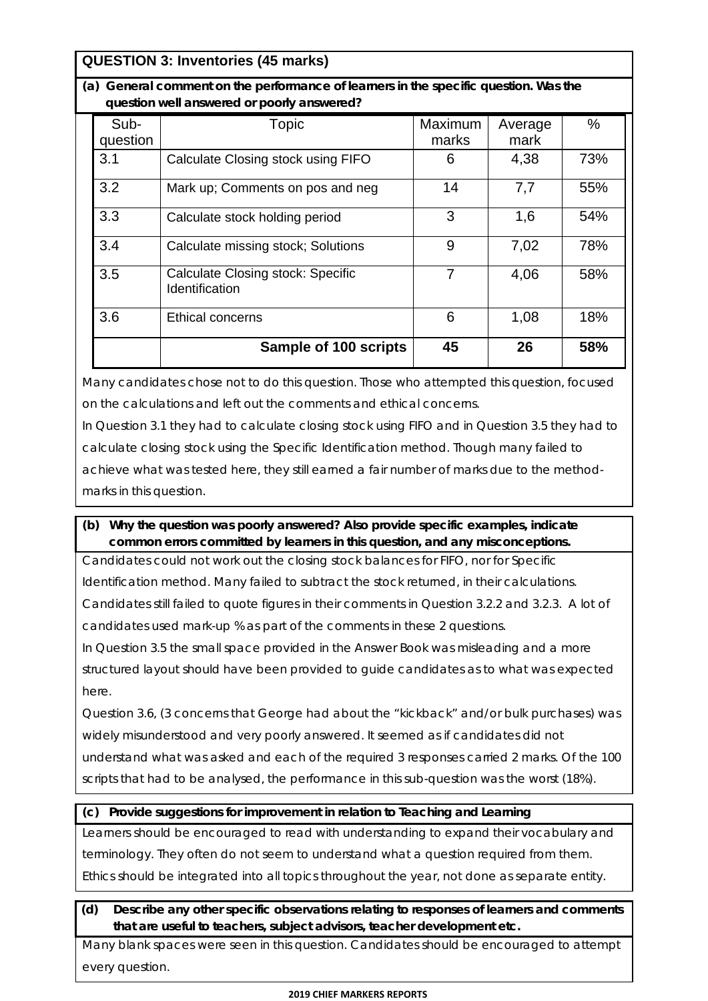# **QUESTION 3: Inventories (45 marks)**

**(a) General comment on the performance of learners in the specific question. Was the question well answered or poorly answered?**

| Sub-<br>question | Topic                                                             | <b>Maximum</b><br>marks | Average<br>mark | %   |
|------------------|-------------------------------------------------------------------|-------------------------|-----------------|-----|
|                  |                                                                   |                         |                 |     |
| 3.1              | Calculate Closing stock using FIFO                                | 6                       | 4,38            | 73% |
| 3.2              | Mark up; Comments on pos and neg                                  | 14                      | 7,7             | 55% |
| 3.3              | Calculate stock holding period                                    | 3                       | 1,6             | 54% |
| 3.4              | Calculate missing stock; Solutions                                | 9                       | 7,02            | 78% |
| 3.5              | <b>Calculate Closing stock: Specific</b><br><b>Identification</b> | 7                       | 4,06            | 58% |
| 3.6              | Ethical concerns                                                  | 6                       | 1,08            | 18% |
|                  | Sample of 100 scripts                                             | 45                      | 26              | 58% |

Many candidates chose not to do this question. Those who attempted this question, focused on the calculations and left out the comments and ethical concerns.

In Question 3.1 they had to calculate closing stock using FIFO and in Question 3.5 they had to calculate closing stock using the Specific Identification method. Though many failed to achieve what was tested here, they still earned a fair number of marks due to the methodmarks in this question.

### **(b) Why the question was poorly answered? Also provide specific examples, indicate common errors committed by learners in this question, and any misconceptions.**

Candidates could not work out the closing stock balances for FIFO, nor for Specific Identification method. Many failed to subtract the stock returned, in their calculations. Candidates still failed to quote figures in their comments in Question 3.2.2 and 3.2.3. A lot of candidates used mark-up % as part of the comments in these 2 questions.

In Question 3.5 the small space provided in the Answer Book was misleading and a more structured layout should have been provided to guide candidates as to what was expected here.

Question 3.6, (3 concerns that George had about the "kickback" and/or bulk purchases) was widely misunderstood and very poorly answered. It seemed as if candidates did not understand what was asked and each of the required 3 responses carried 2 marks. Of the 100 scripts that had to be analysed, the performance in this sub-question was the worst (18%).

#### **(c) Provide suggestions for improvement in relation to Teaching and Learning**

Learners should be encouraged to read with understanding to expand their vocabulary and terminology. They often do not seem to understand what a question required from them. Ethics should be integrated into all topics throughout the year, not done as separate entity.

#### **(d) Describe any other specific observations relating to responses of learners and comments that are useful to teachers, subject advisors, teacher development etc.**

Many blank spaces were seen in this question. Candidates should be encouraged to attempt every question.

#### **2019 CHIEF MARKERS REPORTS**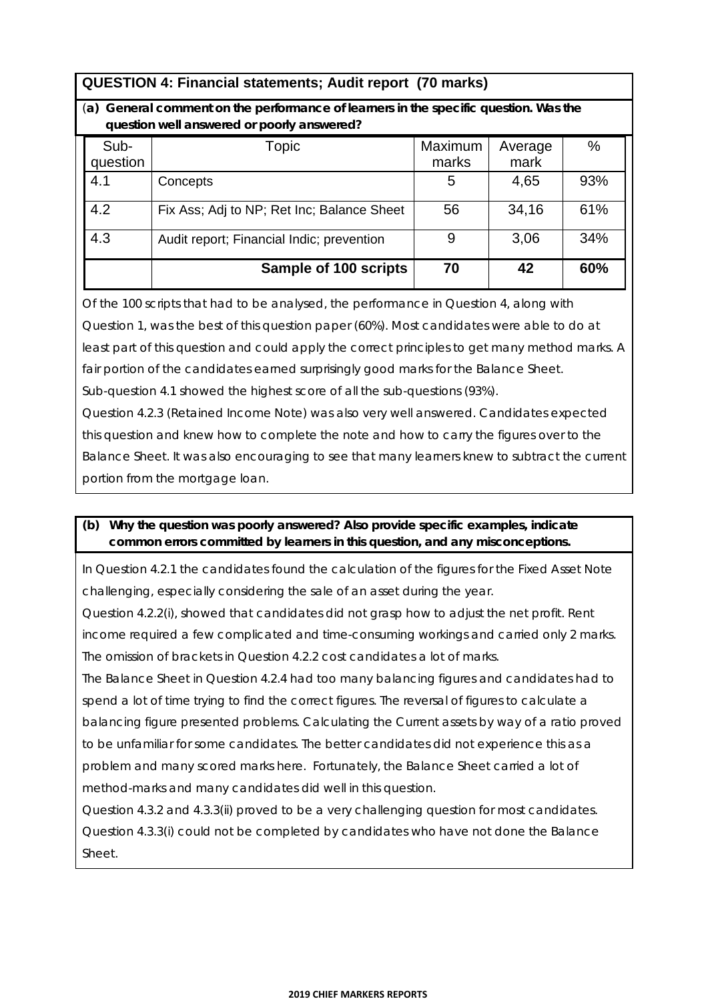# **QUESTION 4: Financial statements; Audit report (70 marks)**

#### (**a) General comment on the performance of learners in the specific question. Was the question well answered or poorly answered?**

| Sub-     | Topic                                      | Maximum | Average | %   |
|----------|--------------------------------------------|---------|---------|-----|
| question |                                            | marks   | mark    |     |
| 4.1      | Concepts                                   | 5       | 4,65    | 93% |
| 4.2      | Fix Ass; Adj to NP; Ret Inc; Balance Sheet | 56      | 34,16   | 61% |
| 4.3      | Audit report; Financial Indic; prevention  | 9       | 3,06    | 34% |
|          | Sample of 100 scripts                      | 70      | 42      | 60% |

Of the 100 scripts that had to be analysed, the performance in Question 4, along with Question 1, was the best of this question paper (60%). Most candidates were able to do at least part of this question and could apply the correct principles to get many method marks. A fair portion of the candidates earned surprisingly good marks for the Balance Sheet. Sub-question 4.1 showed the highest score of all the sub-questions (93%).

Question 4.2.3 (Retained Income Note) was also very well answered. Candidates expected this question and knew how to complete the note and how to carry the figures over to the Balance Sheet. It was also encouraging to see that many learners knew to subtract the current portion from the mortgage loan.

#### **(b) Why the question was poorly answered? Also provide specific examples, indicate common errors committed by learners in this question, and any misconceptions.**

In Question 4.2.1 the candidates found the calculation of the figures for the Fixed Asset Note challenging, especially considering the sale of an asset during the year.

Question 4.2.2(i), showed that candidates did not grasp how to adjust the net profit. Rent income required a few complicated and time-consuming workings and carried only 2 marks. The omission of brackets in Question 4.2.2 cost candidates a lot of marks.

The Balance Sheet in Question 4.2.4 had too many balancing figures and candidates had to spend a lot of time trying to find the correct figures. The reversal of figures to calculate a balancing figure presented problems. Calculating the Current assets by way of a ratio proved to be unfamiliar for some candidates. The better candidates did not experience this as a problem and many scored marks here. Fortunately, the Balance Sheet carried a lot of method-marks and many candidates did well in this question.

Question 4.3.2 and 4.3.3(ii) proved to be a very challenging question for most candidates. Question 4.3.3(i) could not be completed by candidates who have not done the Balance Sheet.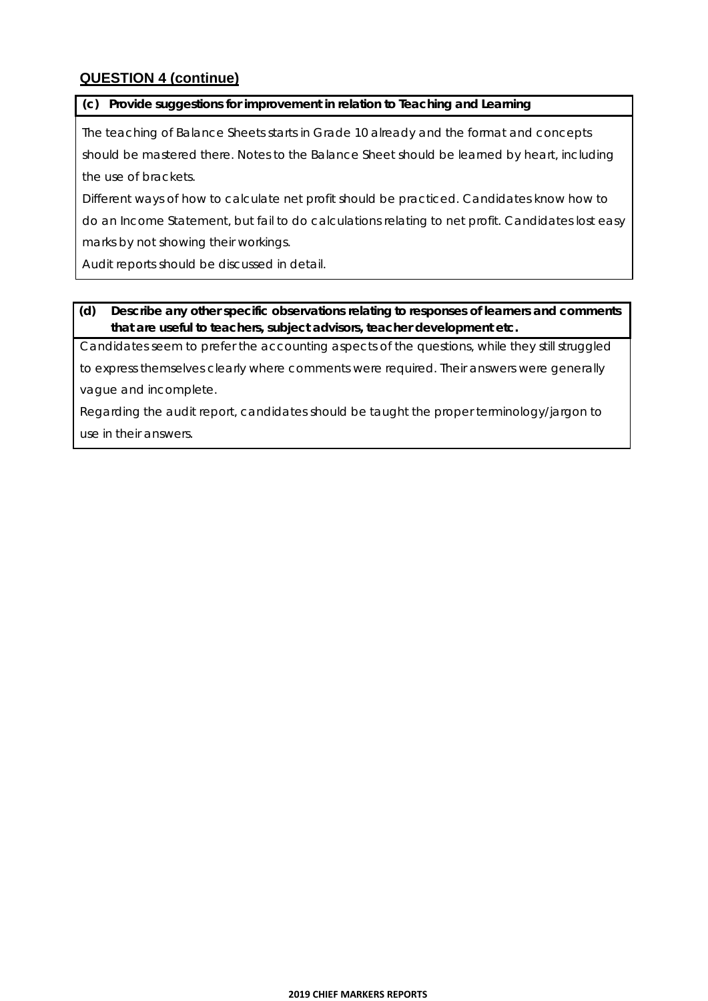# **QUESTION 4 (continue)**

#### **(c) Provide suggestions for improvement in relation to Teaching and Learning**

The teaching of Balance Sheets starts in Grade 10 already and the format and concepts should be mastered there. Notes to the Balance Sheet should be learned by heart, including the use of brackets.

Different ways of how to calculate net profit should be practiced. Candidates know how to do an Income Statement, but fail to do calculations relating to net profit. Candidates lost easy marks by not showing their workings.

Audit reports should be discussed in detail.

#### **(d) Describe any other specific observations relating to responses of learners and comments that are useful to teachers, subject advisors, teacher development etc.**

Candidates seem to prefer the accounting aspects of the questions, while they still struggled

to express themselves clearly where comments were required. Their answers were generally vague and incomplete.

Regarding the audit report, candidates should be taught the proper terminology/jargon to use in their answers.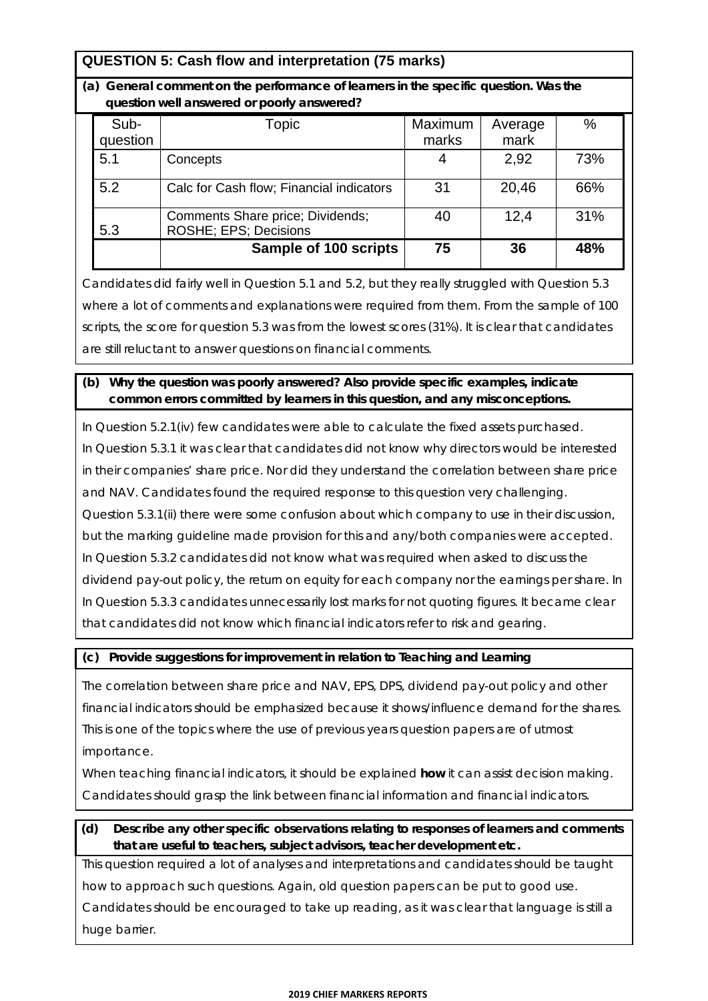# **QUESTION 5: Cash flow and interpretation (75 marks)**

**(a) General comment on the performance of learners in the specific question. Was the question well answered or poorly answered?**

|     | Sub-<br>question | Topic                                                             | Maximum<br>marks | Average<br>mark | $\%$ |
|-----|------------------|-------------------------------------------------------------------|------------------|-----------------|------|
| 5.1 |                  | Concepts                                                          |                  | 2,92            | 73%  |
| 5.2 |                  | Calc for Cash flow; Financial indicators                          | 31               | 20,46           | 66%  |
| 5.3 |                  | Comments Share price; Dividends;<br><b>ROSHE</b> ; EPS; Decisions | 40               | 12,4            | 31%  |
|     |                  | <b>Sample of 100 scripts</b>                                      | 75               | 36              | 48%  |

Candidates did fairly well in Question 5.1 and 5.2, but they really struggled with Question 5.3 where a lot of comments and explanations were required from them. From the sample of 100 scripts, the score for question 5.3 was from the lowest scores (31%). It is clear that candidates are still reluctant to answer questions on financial comments.

#### **(b) Why the question was poorly answered? Also provide specific examples, indicate common errors committed by learners in this question, and any misconceptions.**

In Question 5.2.1(iv) few candidates were able to calculate the fixed assets purchased. In Question 5.3.1 it was clear that candidates did not know why directors would be interested in their companies' share price. Nor did they understand the correlation between share price and NAV. Candidates found the required response to this question very challenging. Question 5.3.1(ii) there were some confusion about which company to use in their discussion, but the marking guideline made provision for this and any/both companies were accepted. In Question 5.3.2 candidates did not know what was required when asked to discuss the dividend pay-out policy, the return on equity for each company nor the earnings per share. In In Question 5.3.3 candidates unnecessarily lost marks for not quoting figures. It became clear that candidates did not know which financial indicators refer to risk and gearing.

#### **(c) Provide suggestions for improvement in relation to Teaching and Learning**

The correlation between share price and NAV, EPS, DPS, dividend pay-out policy and other financial indicators should be emphasized because it shows/influence demand for the shares. This is one of the topics where the use of previous years question papers are of utmost importance.

When teaching financial indicators, it should be explained **how** it can assist decision making. Candidates should grasp the link between financial information and financial indicators.

### **(d) Describe any other specific observations relating to responses of learners and comments that are useful to teachers, subject advisors, teacher development etc.**

This question required a lot of analyses and interpretations and candidates should be taught how to approach such questions. Again, old question papers can be put to good use. Candidates should be encouraged to take up reading, as it was clear that language is still a huge barrier.

#### **2019 CHIEF MARKERS REPORTS**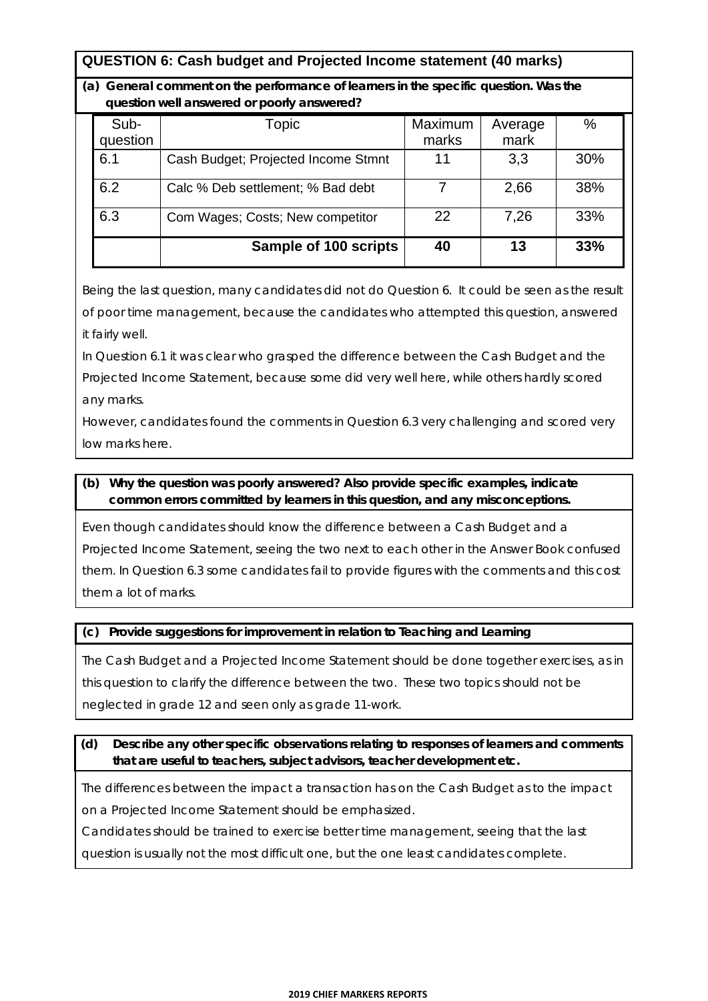# **QUESTION 6: Cash budget and Projected Income statement (40 marks)**

**(a) General comment on the performance of learners in the specific question. Was the question well answered or poorly answered?**

| Sub-<br>question | Topic                               | Maximum<br>marks | Average<br>mark | %   |
|------------------|-------------------------------------|------------------|-----------------|-----|
| 6.1              | Cash Budget; Projected Income Stmnt | 11               | 3,3             | 30% |
| 6.2              | Calc % Deb settlement; % Bad debt   |                  | 2,66            | 38% |
| 6.3              | Com Wages; Costs; New competitor    | 22               | 7,26            | 33% |
|                  | Sample of 100 scripts               | 40               | 13              | 33% |

Being the last question, many candidates did not do Question 6. It could be seen as the result of poor time management, because the candidates who attempted this question, answered it fairly well.

In Question 6.1 it was clear who grasped the difference between the Cash Budget and the Projected Income Statement, because some did very well here, while others hardly scored any marks.

However, candidates found the comments in Question 6.3 very challenging and scored very low marks here.

#### **(b) Why the question was poorly answered? Also provide specific examples, indicate common errors committed by learners in this question, and any misconceptions.**

Even though candidates should know the difference between a Cash Budget and a Projected Income Statement, seeing the two next to each other in the Answer Book confused them. In Question 6.3 some candidates fail to provide figures with the comments and this cost them a lot of marks.

#### **(c) Provide suggestions for improvement in relation to Teaching and Learning**

The Cash Budget and a Projected Income Statement should be done together exercises, as in this question to clarify the difference between the two. These two topics should not be neglected in grade 12 and seen only as grade 11-work.

#### **(d) Describe any other specific observations relating to responses of learners and comments that are useful to teachers, subject advisors, teacher development etc.**

The differences between the impact a transaction has on the Cash Budget as to the impact on a Projected Income Statement should be emphasized.

Candidates should be trained to exercise better time management, seeing that the last

question is usually not the most difficult one, but the one least candidates complete.